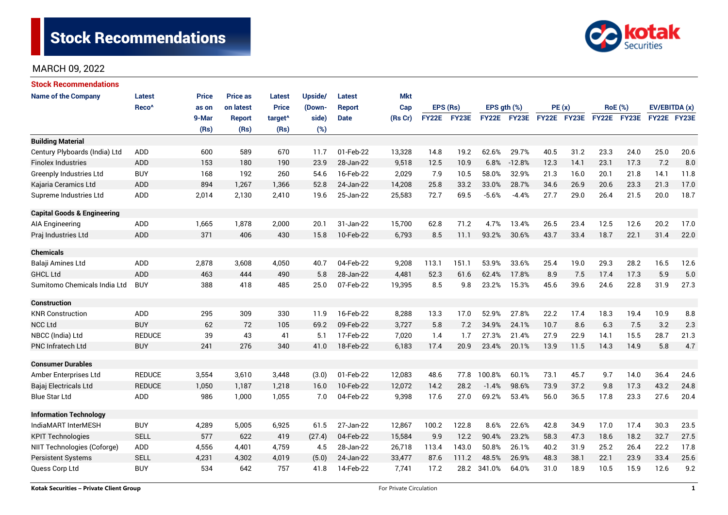

| <b>Stock Recommendations</b>           |                   |              |                 |                     |         |               |            |              |       |                  |             |             |      |                |             |               |      |
|----------------------------------------|-------------------|--------------|-----------------|---------------------|---------|---------------|------------|--------------|-------|------------------|-------------|-------------|------|----------------|-------------|---------------|------|
| <b>Name of the Company</b>             | <b>Latest</b>     | <b>Price</b> | <b>Price as</b> | <b>Latest</b>       | Upside/ | <b>Latest</b> | <b>Mkt</b> |              |       |                  |             |             |      |                |             |               |      |
|                                        | Reco <sup>^</sup> | as on        | on latest       | <b>Price</b>        | (Down-  | <b>Report</b> | Cap        | EPS (Rs)     |       | EPS $gth$ $(\%)$ |             | PE(x)       |      | <b>RoE</b> (%) |             | EV/EBITDA (x) |      |
|                                        |                   | 9-Mar        | <b>Report</b>   | target <sup>^</sup> | side)   | <b>Date</b>   | (Rs Cr)    | <b>FY22E</b> | FY23E |                  | FY22E FY23E | FY22E FY23E |      |                | FY22E FY23E | FY22E FY23E   |      |
|                                        |                   | (Rs)         | (Rs)            | (Rs)                | (%)     |               |            |              |       |                  |             |             |      |                |             |               |      |
| <b>Building Material</b>               |                   |              |                 |                     |         |               |            |              |       |                  |             |             |      |                |             |               |      |
| Century Plyboards (India) Ltd          | <b>ADD</b>        | 600          | 589             | 670                 | 11.7    | 01-Feb-22     | 13,328     | 14.8         | 19.2  | 62.6%            | 29.7%       | 40.5        | 31.2 | 23.3           | 24.0        | 25.0          | 20.6 |
| <b>Finolex Industries</b>              | <b>ADD</b>        | 153          | 180             | 190                 | 23.9    | 28-Jan-22     | 9,518      | 12.5         | 10.9  | 6.8%             | $-12.8%$    | 12.3        | 14.1 | 23.1           | 17.3        | 7.2           | 8.0  |
| <b>Greenply Industries Ltd</b>         | <b>BUY</b>        | 168          | 192             | 260                 | 54.6    | 16-Feb-22     | 2,029      | 7.9          | 10.5  | 58.0%            | 32.9%       | 21.3        | 16.0 | 20.1           | 21.8        | 14.1          | 11.8 |
| Kajaria Ceramics Ltd                   | <b>ADD</b>        | 894          | 1,267           | 1,366               | 52.8    | 24-Jan-22     | 14,208     | 25.8         | 33.2  | 33.0%            | 28.7%       | 34.6        | 26.9 | 20.6           | 23.3        | 21.3          | 17.0 |
| Supreme Industries Ltd                 | <b>ADD</b>        | 2,014        | 2,130           | 2,410               | 19.6    | 25-Jan-22     | 25,583     | 72.7         | 69.5  | $-5.6%$          | $-4.4%$     | 27.7        | 29.0 | 26.4           | 21.5        | 20.0          | 18.7 |
| <b>Capital Goods &amp; Engineering</b> |                   |              |                 |                     |         |               |            |              |       |                  |             |             |      |                |             |               |      |
| AIA Engineering                        | <b>ADD</b>        | 1,665        | 1,878           | 2,000               | 20.1    | 31-Jan-22     | 15,700     | 62.8         | 71.2  | 4.7%             | 13.4%       | 26.5        | 23.4 | 12.5           | 12.6        | 20.2          | 17.0 |
| Praj Industries Ltd                    | <b>ADD</b>        | 371          | 406             | 430                 | 15.8    | 10-Feb-22     | 6,793      | 8.5          | 11.1  | 93.2%            | 30.6%       | 43.7        | 33.4 | 18.7           | 22.1        | 31.4          | 22.0 |
| <b>Chemicals</b>                       |                   |              |                 |                     |         |               |            |              |       |                  |             |             |      |                |             |               |      |
| Balaji Amines Ltd                      | ADD               | 2,878        | 3,608           | 4,050               | 40.7    | 04-Feb-22     | 9,208      | 113.1        | 151.1 | 53.9%            | 33.6%       | 25.4        | 19.0 | 29.3           | 28.2        | 16.5          | 12.6 |
| <b>GHCL Ltd</b>                        | <b>ADD</b>        | 463          | 444             | 490                 | 5.8     | 28-Jan-22     | 4,481      | 52.3         | 61.6  | 62.4%            | 17.8%       | 8.9         | 7.5  | 17.4           | 17.3        | 5.9           | 5.0  |
| Sumitomo Chemicals India Ltd           | <b>BUY</b>        | 388          | 418             | 485                 | 25.0    | 07-Feb-22     | 19,395     | 8.5          | 9.8   | 23.2%            | 15.3%       | 45.6        | 39.6 | 24.6           | 22.8        | 31.9          | 27.3 |
| <b>Construction</b>                    |                   |              |                 |                     |         |               |            |              |       |                  |             |             |      |                |             |               |      |
| <b>KNR Construction</b>                | ADD               | 295          | 309             | 330                 | 11.9    | 16-Feb-22     | 8,288      | 13.3         | 17.0  | 52.9%            | 27.8%       | 22.2        | 17.4 | 18.3           | 19.4        | 10.9          | 8.8  |
| <b>NCC Ltd</b>                         | <b>BUY</b>        | 62           | 72              | 105                 | 69.2    | 09-Feb-22     | 3,727      | 5.8          | 7.2   | 34.9%            | 24.1%       | 10.7        | 8.6  | 6.3            | 7.5         | 3.2           | 2.3  |
| NBCC (India) Ltd                       | <b>REDUCE</b>     | 39           | 43              | 41                  | 5.1     | 17-Feb-22     | 7,020      | 1.4          | 1.7   | 27.3%            | 21.4%       | 27.9        | 22.9 | 14.1           | 15.5        | 28.7          | 21.3 |
| PNC Infratech Ltd                      | <b>BUY</b>        | 241          | 276             | 340                 | 41.0    | 18-Feb-22     | 6,183      | 17.4         | 20.9  | 23.4%            | 20.1%       | 13.9        | 11.5 | 14.3           | 14.9        | 5.8           | 4.7  |
| <b>Consumer Durables</b>               |                   |              |                 |                     |         |               |            |              |       |                  |             |             |      |                |             |               |      |
| Amber Enterprises Ltd                  | <b>REDUCE</b>     | 3,554        | 3,610           | 3,448               | (3.0)   | 01-Feb-22     | 12,083     | 48.6         | 77.8  | 100.8%           | 60.1%       | 73.1        | 45.7 | 9.7            | 14.0        | 36.4          | 24.6 |
| Bajaj Electricals Ltd                  | <b>REDUCE</b>     | 1,050        | 1,187           | 1,218               | 16.0    | 10-Feb-22     | 12,072     | 14.2         | 28.2  | $-1.4%$          | 98.6%       | 73.9        | 37.2 | 9.8            | 17.3        | 43.2          | 24.8 |
| <b>Blue Star Ltd</b>                   | <b>ADD</b>        | 986          | 1,000           | 1,055               | 7.0     | 04-Feb-22     | 9,398      | 17.6         | 27.0  | 69.2%            | 53.4%       | 56.0        | 36.5 | 17.8           | 23.3        | 27.6          | 20.4 |
| <b>Information Technology</b>          |                   |              |                 |                     |         |               |            |              |       |                  |             |             |      |                |             |               |      |
| IndiaMART InterMESH                    | <b>BUY</b>        | 4,289        | 5,005           | 6,925               | 61.5    | 27-Jan-22     | 12,867     | 100.2        | 122.8 | 8.6%             | 22.6%       | 42.8        | 34.9 | 17.0           | 17.4        | 30.3          | 23.5 |
| <b>KPIT Technologies</b>               | <b>SELL</b>       | 577          | 622             | 419                 | (27.4)  | 04-Feb-22     | 15,584     | 9.9          | 12.2  | 90.4%            | 23.2%       | 58.3        | 47.3 | 18.6           | 18.2        | 32.7          | 27.5 |
| NIIT Technologies (Coforge)            | ADD               | 4,556        | 4,401           | 4,759               | 4.5     | 28-Jan-22     | 26,718     | 113.4        | 143.0 | 50.8%            | 26.1%       | 40.2        | 31.9 | 25.2           | 26.4        | 22.2          | 17.8 |
| <b>Persistent Systems</b>              | <b>SELL</b>       | 4,231        | 4,302           | 4,019               | (5.0)   | 24-Jan-22     | 33,477     | 87.6         | 111.2 | 48.5%            | 26.9%       | 48.3        | 38.1 | 22.1           | 23.9        | 33.4          | 25.6 |
| Quess Corp Ltd                         | <b>BUY</b>        | 534          | 642             | 757                 | 41.8    | 14-Feb-22     | 7,741      | 17.2         | 28.2  | 341.0%           | 64.0%       | 31.0        | 18.9 | 10.5           | 15.9        | 12.6          | 9.2  |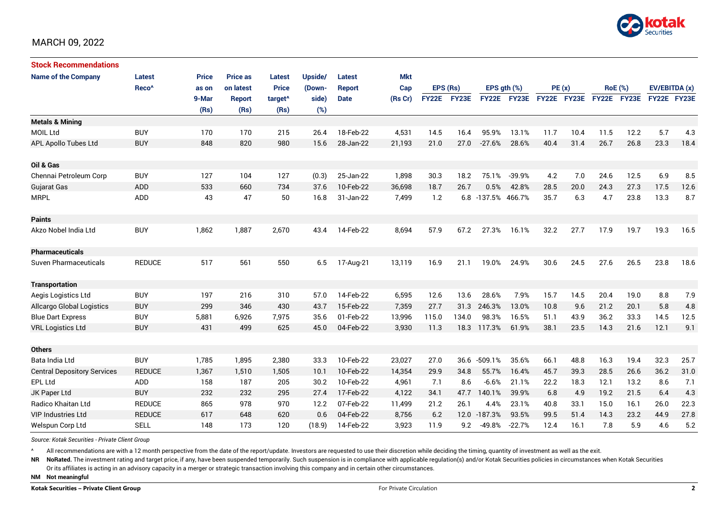

| <b>Stock Recommendations</b>       |                   |              |                 |                     |         |               |            |              |       |                    |              |             |      |                |      |               |      |
|------------------------------------|-------------------|--------------|-----------------|---------------------|---------|---------------|------------|--------------|-------|--------------------|--------------|-------------|------|----------------|------|---------------|------|
| <b>Name of the Company</b>         | Latest            | <b>Price</b> | <b>Price as</b> | <b>Latest</b>       | Upside/ | <b>Latest</b> | <b>Mkt</b> |              |       |                    |              |             |      |                |      |               |      |
|                                    | Reco <sup>^</sup> | as on        | on latest       | <b>Price</b>        | (Down-  | <b>Report</b> | Cap        | EPS (Rs)     |       | EPS $qth$ $(\%)$   |              | PE(x)       |      | <b>RoE</b> (%) |      | EV/EBITDA (x) |      |
|                                    |                   | 9-Mar        | Report          | target <sup>^</sup> | side)   | <b>Date</b>   | (Rs Cr)    | <b>FY22E</b> | FY23E | <b>FY22E</b>       | <b>FY23E</b> | FY22E FY23E |      | FY22E FY23E    |      | FY22E FY23E   |      |
|                                    |                   | (Rs)         | (Rs)            | (Rs)                | (%)     |               |            |              |       |                    |              |             |      |                |      |               |      |
| <b>Metals &amp; Mining</b>         |                   |              |                 |                     |         |               |            |              |       |                    |              |             |      |                |      |               |      |
| <b>MOIL Ltd</b>                    | <b>BUY</b>        | 170          | 170             | 215                 | 26.4    | 18-Feb-22     | 4,531      | 14.5         | 16.4  | 95.9%              | 13.1%        | 11.7        | 10.4 | 11.5           | 12.2 | 5.7           | 4.3  |
| <b>APL Apollo Tubes Ltd</b>        | <b>BUY</b>        | 848          | 820             | 980                 | 15.6    | 28-Jan-22     | 21,193     | 21.0         | 27.0  | $-27.6%$           | 28.6%        | 40.4        | 31.4 | 26.7           | 26.8 | 23.3          | 18.4 |
|                                    |                   |              |                 |                     |         |               |            |              |       |                    |              |             |      |                |      |               |      |
| Oil & Gas                          |                   |              |                 |                     |         |               |            |              |       |                    |              |             |      |                |      |               |      |
| Chennai Petroleum Corp             | <b>BUY</b>        | 127          | 104             | 127                 | (0.3)   | 25-Jan-22     | 1,898      | 30.3         | 18.2  | 75.1%              | $-39.9%$     | 4.2         | 7.0  | 24.6           | 12.5 | 6.9           | 8.5  |
| <b>Gujarat Gas</b>                 | <b>ADD</b>        | 533          | 660             | 734                 | 37.6    | 10-Feb-22     | 36.698     | 18.7         | 26.7  | 0.5%               | 42.8%        | 28.5        | 20.0 | 24.3           | 27.3 | 17.5          | 12.6 |
| <b>MRPL</b>                        | ADD               | 43           | 47              | 50                  | 16.8    | 31-Jan-22     | 7,499      | 1.2          |       | 6.8 -137.5% 466.7% |              | 35.7        | 6.3  | 4.7            | 23.8 | 13.3          | 8.7  |
|                                    |                   |              |                 |                     |         |               |            |              |       |                    |              |             |      |                |      |               |      |
| <b>Paints</b>                      |                   |              |                 |                     |         |               |            |              |       |                    |              |             |      |                |      |               |      |
| Akzo Nobel India Ltd               | <b>BUY</b>        | 1,862        | 1,887           | 2,670               | 43.4    | 14-Feb-22     | 8,694      | 57.9         | 67.2  | 27.3%              | 16.1%        | 32.2        | 27.7 | 17.9           | 19.7 | 19.3          | 16.5 |
|                                    |                   |              |                 |                     |         |               |            |              |       |                    |              |             |      |                |      |               |      |
| <b>Pharmaceuticals</b>             |                   |              |                 |                     |         |               |            |              |       |                    |              |             |      |                |      |               |      |
| <b>Suven Pharmaceuticals</b>       | <b>REDUCE</b>     | 517          | 561             | 550                 | 6.5     | 17-Aug-21     | 13,119     | 16.9         | 21.1  | 19.0%              | 24.9%        | 30.6        | 24.5 | 27.6           | 26.5 | 23.8          | 18.6 |
|                                    |                   |              |                 |                     |         |               |            |              |       |                    |              |             |      |                |      |               |      |
| <b>Transportation</b>              |                   |              |                 |                     |         |               |            |              |       |                    |              |             |      |                |      |               |      |
| Aegis Logistics Ltd                | <b>BUY</b>        | 197          | 216             | 310                 | 57.0    | 14-Feb-22     | 6,595      | 12.6         | 13.6  | 28.6%              | 7.9%         | 15.7        | 14.5 | 20.4           | 19.0 | 8.8           | 7.9  |
| Allcargo Global Logistics          | <b>BUY</b>        | 299          | 346             | 430                 | 43.7    | 15-Feb-22     | 7,359      | 27.7         | 31.3  | 246.3%             | 13.0%        | 10.8        | 9.6  | 21.2           | 20.1 | 5.8           | 4.8  |
| <b>Blue Dart Express</b>           | <b>BUY</b>        | 5,881        | 6,926           | 7,975               | 35.6    | 01-Feb-22     | 13,996     | 115.0        | 134.0 | 98.3%              | 16.5%        | 51.1        | 43.9 | 36.2           | 33.3 | 14.5          | 12.5 |
| <b>VRL Logistics Ltd</b>           | <b>BUY</b>        | 431          | 499             | 625                 | 45.0    | 04-Feb-22     | 3,930      | 11.3         | 18.3  | 117.3%             | 61.9%        | 38.1        | 23.5 | 14.3           | 21.6 | 12.1          | 9.1  |
|                                    |                   |              |                 |                     |         |               |            |              |       |                    |              |             |      |                |      |               |      |
| <b>Others</b>                      |                   |              |                 |                     |         |               |            |              |       |                    |              |             |      |                |      |               |      |
| Bata India Ltd                     | <b>BUY</b>        | 1,785        | 1,895           | 2,380               | 33.3    | 10-Feb-22     | 23,027     | 27.0         | 36.6  | $-509.1%$          | 35.6%        | 66.1        | 48.8 | 16.3           | 19.4 | 32.3          | 25.7 |
| <b>Central Depository Services</b> | <b>REDUCE</b>     | 1,367        | 1,510           | 1,505               | 10.1    | 10-Feb-22     | 14,354     | 29.9         | 34.8  | 55.7%              | 16.4%        | 45.7        | 39.3 | 28.5           | 26.6 | 36.2          | 31.0 |
| <b>EPL Ltd</b>                     | <b>ADD</b>        | 158          | 187             | 205                 | 30.2    | 10-Feb-22     | 4,961      | 7.1          | 8.6   | $-6.6%$            | 21.1%        | 22.2        | 18.3 | 12.1           | 13.2 | 8.6           | 7.1  |
| JK Paper Ltd                       | <b>BUY</b>        | 232          | 232             | 295                 | 27.4    | 17-Feb-22     | 4,122      | 34.1         | 47.7  | 140.1%             | 39.9%        | 6.8         | 4.9  | 19.2           | 21.5 | 6.4           | 4.3  |
| Radico Khaitan Ltd                 | <b>REDUCE</b>     | 865          | 978             | 970                 | 12.2    | 07-Feb-22     | 11,499     | 21.2         | 26.1  | 4.4%               | 23.1%        | 40.8        | 33.1 | 15.0           | 16.1 | 26.0          | 22.3 |
| <b>VIP Industries Ltd</b>          | <b>REDUCE</b>     | 617          | 648             | 620                 | 0.6     | 04-Feb-22     | 8,756      | 6.2          |       | 12.0 -187.3%       | 93.5%        | 99.5        | 51.4 | 14.3           | 23.2 | 44.9          | 27.8 |
| Welspun Corp Ltd                   | <b>SELL</b>       | 148          | 173             | 120                 | (18.9)  | 14-Feb-22     | 3,923      | 11.9         | 9.2   | $-49.8%$           | $-22.7%$     | 12.4        | 16.1 | 7.8            | 5.9  | 4.6           | 5.2  |

*Source: Kotak Securities - Private Client Group*

All recommendations are with a 12 month perspective from the date of the report/update. Investors are requested to use their discretion while deciding the timing, quantity of investment as well as the exit.

NR NoRated. The investment rating and target price, if any, have been suspended temporarily. Such suspension is in compliance with applicable regulation(s) and/or Kotak Securities policies in circumstances when Kotak Secur

Or its affiliates is acting in an advisory capacity in a merger or strategic transaction involving this company and in certain other circumstances.

**NM Not meaningful**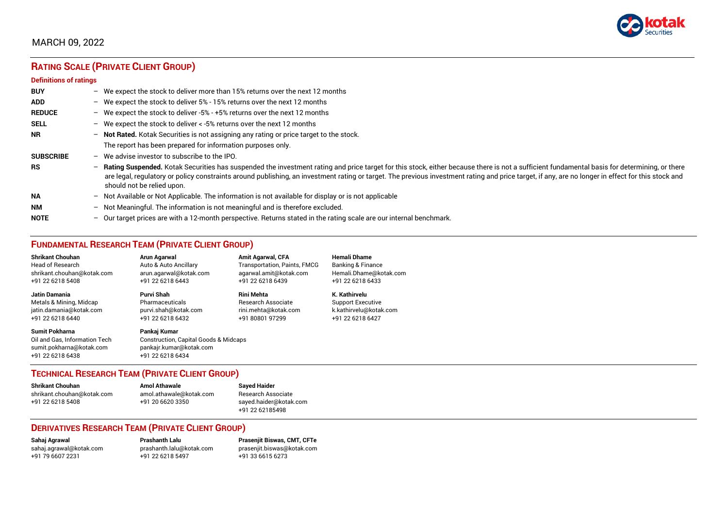

# **RATING SCALE (PRIVATE CLIENT GROUP)**

#### **Definitions of ratings**

| <b>BUY</b>       |                          | - We expect the stock to deliver more than 15% returns over the next 12 months                                                                                                                                                                                                                                                                                                                                                   |
|------------------|--------------------------|----------------------------------------------------------------------------------------------------------------------------------------------------------------------------------------------------------------------------------------------------------------------------------------------------------------------------------------------------------------------------------------------------------------------------------|
| <b>ADD</b>       |                          | - We expect the stock to deliver $5\%$ - 15% returns over the next 12 months                                                                                                                                                                                                                                                                                                                                                     |
| <b>REDUCE</b>    |                          | - We expect the stock to deliver -5% - +5% returns over the next 12 months                                                                                                                                                                                                                                                                                                                                                       |
| <b>SELL</b>      |                          | - We expect the stock to deliver $\lt$ -5% returns over the next 12 months                                                                                                                                                                                                                                                                                                                                                       |
| <b>NR</b>        |                          | - Not Rated. Kotak Securities is not assigning any rating or price target to the stock.                                                                                                                                                                                                                                                                                                                                          |
|                  |                          | The report has been prepared for information purposes only.                                                                                                                                                                                                                                                                                                                                                                      |
| <b>SUBSCRIBE</b> | $-$                      | We advise investor to subscribe to the IPO.                                                                                                                                                                                                                                                                                                                                                                                      |
| <b>RS</b>        | $\overline{\phantom{0}}$ | Rating Suspended. Kotak Securities has suspended the investment rating and price target for this stock, either because there is not a sufficient fundamental basis for determining, or there<br>are legal, regulatory or policy constraints around publishing, an investment rating or target. The previous investment rating and price target, if any, are no longer in effect for this stock and<br>should not be relied upon. |
| <b>NA</b>        |                          | $-$ Not Available or Not Applicable. The information is not available for display or is not applicable                                                                                                                                                                                                                                                                                                                           |
| <b>NM</b>        | $-$                      | Not Meaningful. The information is not meaningful and is therefore excluded.                                                                                                                                                                                                                                                                                                                                                     |
| <b>NOTE</b>      |                          | - Our target prices are with a 12-month perspective. Returns stated in the rating scale are our internal benchmark.                                                                                                                                                                                                                                                                                                              |

## **FUNDAMENTAL RESEARCH TEAM (PRIVATE CLIENT GROUP)**

| <b>Shrikant Chouhan</b>                                                                                | Arun Agarwal                                                                                                    | <b>Amit Agarwal, CFA</b>            | <b>Hemali Dhame</b>      |
|--------------------------------------------------------------------------------------------------------|-----------------------------------------------------------------------------------------------------------------|-------------------------------------|--------------------------|
| <b>Head of Research</b>                                                                                | Auto & Auto Ancillary                                                                                           | <b>Transportation, Paints, FMCG</b> | Banking & Finance        |
| shrikant.chouhan@kotak.com                                                                             | arun.agarwal@kotak.com                                                                                          | agarwal.amit@kotak.com              | Hemali.Dhame@kotak.com   |
| +91 22 6218 5408                                                                                       | +91 22 6218 6443                                                                                                | +91 22 6218 6439                    | +91 22 6218 6433         |
| Jatin Damania                                                                                          | Purvi Shah                                                                                                      | <b>Rini Mehta</b>                   | K. Kathirvelu            |
| Metals & Mining, Midcap                                                                                | Pharmaceuticals                                                                                                 | <b>Research Associate</b>           | <b>Support Executive</b> |
| jatin.damania@kotak.com                                                                                | purvi.shah@kotak.com                                                                                            | rini.mehta@kotak.com                | k.kathirvelu@kotak.com   |
| +91 22 6218 6440                                                                                       | +91 22 6218 6432                                                                                                | +91 80801 97299                     | +91 22 6218 6427         |
| <b>Sumit Pokharna</b><br>Oil and Gas. Information Tech<br>sumit.pokharna@kotak.com<br>+91 22 6218 6438 | Pankaj Kumar<br><b>Construction, Capital Goods &amp; Midcaps</b><br>pankajr.kumar@kotak.com<br>+91 22 6218 6434 |                                     |                          |

## **TECHNICAL RESEARCH TEAM (PRIVATE CLIENT GROUP)**

| <b>Shrikant Chouhan</b>    | <b>Amol Athawale</b>    |  |
|----------------------------|-------------------------|--|
| shrikant.chouhan@kotak.com | amol.athawale@kotak.com |  |
| +91 22 6218 5408           | +91 20 6620 3350        |  |
|                            |                         |  |

#### **Sayed Haider** Research Associate [sayed.haider@kotak.com](mailto:sayed.haider@kotak.com) +91 22 62185498

#### **DERIVATIVES RESEARCH TEAM (PRIVATE CLIENT GROUP)**

+91 22 6218 5497 +91 33 6615 6273

**Sahaj Agrawal Prashanth Lalu Prasenjit Biswas, CMT, CFTe** [sahaj.agrawal@kotak.com](mailto:sahaj.agrawal@kotak.com) [prashanth.lalu@kotak.com](mailto:prashanth.lalu@kotak.com) [prasenjit.biswas@kotak.com](mailto:prasenjit.biswas@kotak.com)